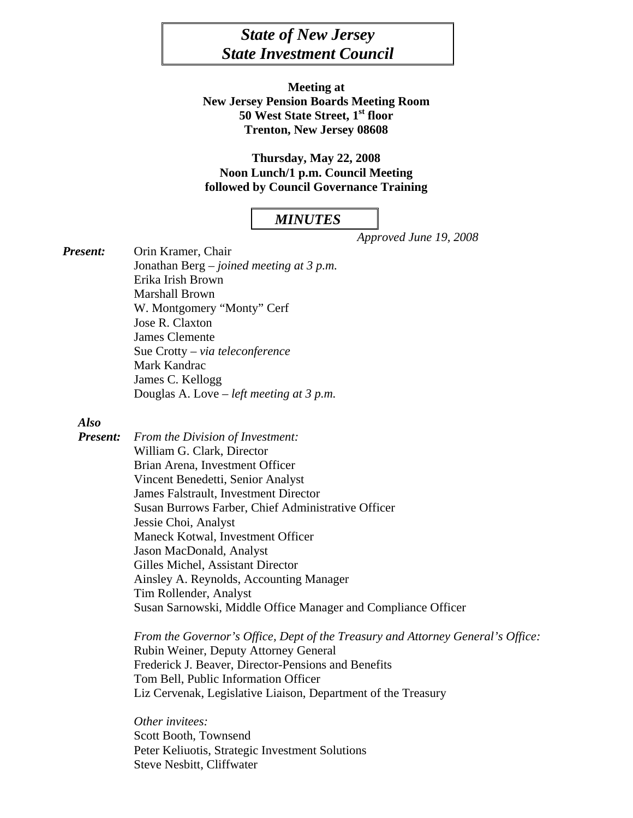# *State of New Jersey State Investment Council*

**Meeting at New Jersey Pension Boards Meeting Room 50 West State Street, 1st floor Trenton, New Jersey 08608** 

**Thursday, May 22, 2008 Noon Lunch/1 p.m. Council Meeting followed by Council Governance Training** 

## *MINUTES*

 *Approved June 19, 2008* 

*Present:* Orin Kramer, Chair Jonathan Berg – *joined meeting at 3 p.m.*  Erika Irish Brown Marshall Brown W. Montgomery "Monty" Cerf Jose R. Claxton James Clemente Sue Crotty – *via teleconference*  Mark Kandrac James C. Kellogg Douglas A. Love *– left meeting at 3 p.m.* 

#### *Also*

*Present: From the Division of Investment:*  William G. Clark, Director Brian Arena, Investment Officer Vincent Benedetti, Senior Analyst James Falstrault, Investment Director Susan Burrows Farber, Chief Administrative Officer Jessie Choi, Analyst Maneck Kotwal, Investment Officer Jason MacDonald, Analyst Gilles Michel, Assistant Director Ainsley A. Reynolds, Accounting Manager Tim Rollender, Analyst Susan Sarnowski, Middle Office Manager and Compliance Officer

> *From the Governor's Office, Dept of the Treasury and Attorney General's Office:*  Rubin Weiner, Deputy Attorney General Frederick J. Beaver, Director-Pensions and Benefits Tom Bell, Public Information Officer Liz Cervenak, Legislative Liaison, Department of the Treasury

*Other invitees:*  Scott Booth, Townsend Peter Keliuotis, Strategic Investment Solutions Steve Nesbitt, Cliffwater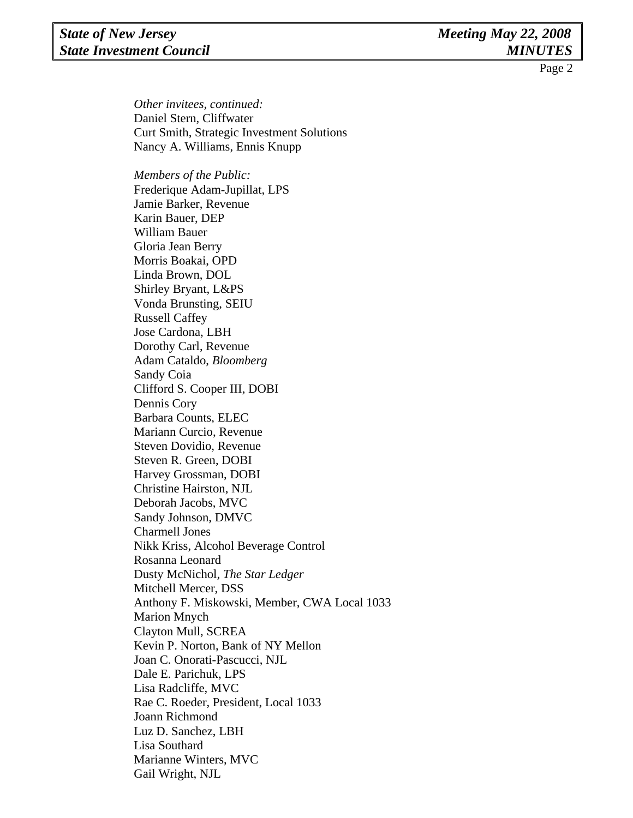# *State of New Jersey* Meeting May 22, 2008 *State Investment Council MINUTES*

Page 2

*Other invitees, continued:*  Daniel Stern, Cliffwater Curt Smith, Strategic Investment Solutions Nancy A. Williams, Ennis Knupp

 *Members of the Public:* Frederique Adam-Jupillat, LPS Jamie Barker, Revenue Karin Bauer, DEP William Bauer Gloria Jean Berry Morris Boakai, OPD Linda Brown, DOL Shirley Bryant, L&PS Vonda Brunsting, SEIU Russell Caffey Jose Cardona, LBH Dorothy Carl, Revenue Adam Cataldo, *Bloomberg*  Sandy Coia Clifford S. Cooper III, DOBI Dennis Cory Barbara Counts, ELEC Mariann Curcio, Revenue Steven Dovidio, Revenue Steven R. Green, DOBI Harvey Grossman, DOBI Christine Hairston, NJL Deborah Jacobs, MVC Sandy Johnson, DMVC Charmell Jones Nikk Kriss, Alcohol Beverage Control Rosanna Leonard Dusty McNichol*, The Star Ledger* Mitchell Mercer, DSS Anthony F. Miskowski, Member, CWA Local 1033 Marion Mnych Clayton Mull, SCREA Kevin P. Norton, Bank of NY Mellon Joan C. Onorati-Pascucci, NJL Dale E. Parichuk, LPS Lisa Radcliffe, MVC Rae C. Roeder, President, Local 1033 Joann Richmond Luz D. Sanchez, LBH Lisa Southard Marianne Winters, MVC Gail Wright, NJL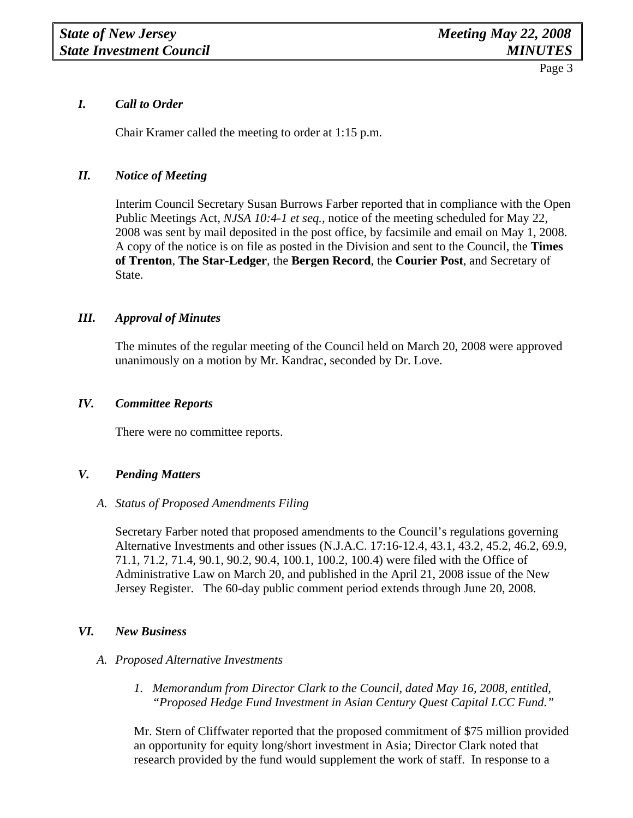# *I. Call to Order*

Chair Kramer called the meeting to order at 1:15 p.m.

# *II. Notice of Meeting*

 Interim Council Secretary Susan Burrows Farber reported that in compliance with the Open Public Meetings Act, *NJSA 10:4-1 et seq.,* notice of the meeting scheduled for May 22, 2008 was sent by mail deposited in the post office, by facsimile and email on May 1, 2008. A copy of the notice is on file as posted in the Division and sent to the Council, the **Times of Trenton**, **The Star-Ledger**, the **Bergen Record**, the **Courier Post**, and Secretary of State.

# *III. Approval of Minutes*

The minutes of the regular meeting of the Council held on March 20, 2008 were approved unanimously on a motion by Mr. Kandrac, seconded by Dr. Love.

## *IV. Committee Reports*

There were no committee reports.

# *V. Pending Matters*

#### *A. Status of Proposed Amendments Filing*

Secretary Farber noted that proposed amendments to the Council's regulations governing Alternative Investments and other issues (N.J.A.C. 17:16-12.4, 43.1, 43.2, 45.2, 46.2, 69.9, 71.1, 71.2, 71.4, 90.1, 90.2, 90.4, 100.1, 100.2, 100.4) were filed with the Office of Administrative Law on March 20, and published in the April 21, 2008 issue of the New Jersey Register. The 60-day public comment period extends through June 20, 2008.

# *VI. New Business*

#### *A. Proposed Alternative Investments*

*1. Memorandum from Director Clark to the Council, dated May 16, 2008, entitled, "Proposed Hedge Fund Investment in Asian Century Quest Capital LCC Fund."* 

Mr. Stern of Cliffwater reported that the proposed commitment of \$75 million provided an opportunity for equity long/short investment in Asia; Director Clark noted that research provided by the fund would supplement the work of staff. In response to a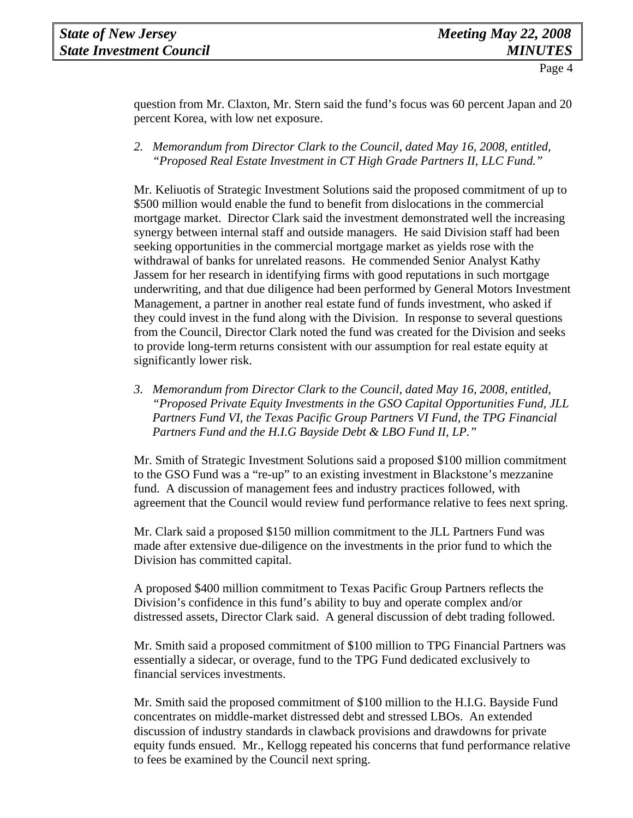question from Mr. Claxton, Mr. Stern said the fund's focus was 60 percent Japan and 20 percent Korea, with low net exposure.

*2. Memorandum from Director Clark to the Council, dated May 16, 2008, entitled, "Proposed Real Estate Investment in CT High Grade Partners II, LLC Fund."* 

Mr. Keliuotis of Strategic Investment Solutions said the proposed commitment of up to \$500 million would enable the fund to benefit from dislocations in the commercial mortgage market. Director Clark said the investment demonstrated well the increasing synergy between internal staff and outside managers. He said Division staff had been seeking opportunities in the commercial mortgage market as yields rose with the withdrawal of banks for unrelated reasons. He commended Senior Analyst Kathy Jassem for her research in identifying firms with good reputations in such mortgage underwriting, and that due diligence had been performed by General Motors Investment Management, a partner in another real estate fund of funds investment, who asked if they could invest in the fund along with the Division. In response to several questions from the Council, Director Clark noted the fund was created for the Division and seeks to provide long-term returns consistent with our assumption for real estate equity at significantly lower risk.

*3. Memorandum from Director Clark to the Council, dated May 16, 2008, entitled, "Proposed Private Equity Investments in the GSO Capital Opportunities Fund, JLL Partners Fund VI, the Texas Pacific Group Partners VI Fund, the TPG Financial Partners Fund and the H.I.G Bayside Debt & LBO Fund II, LP."* 

Mr. Smith of Strategic Investment Solutions said a proposed \$100 million commitment to the GSO Fund was a "re-up" to an existing investment in Blackstone's mezzanine fund. A discussion of management fees and industry practices followed, with agreement that the Council would review fund performance relative to fees next spring.

Mr. Clark said a proposed \$150 million commitment to the JLL Partners Fund was made after extensive due-diligence on the investments in the prior fund to which the Division has committed capital.

A proposed \$400 million commitment to Texas Pacific Group Partners reflects the Division's confidence in this fund's ability to buy and operate complex and/or distressed assets, Director Clark said. A general discussion of debt trading followed.

Mr. Smith said a proposed commitment of \$100 million to TPG Financial Partners was essentially a sidecar, or overage, fund to the TPG Fund dedicated exclusively to financial services investments.

Mr. Smith said the proposed commitment of \$100 million to the H.I.G. Bayside Fund concentrates on middle-market distressed debt and stressed LBOs. An extended discussion of industry standards in clawback provisions and drawdowns for private equity funds ensued. Mr., Kellogg repeated his concerns that fund performance relative to fees be examined by the Council next spring.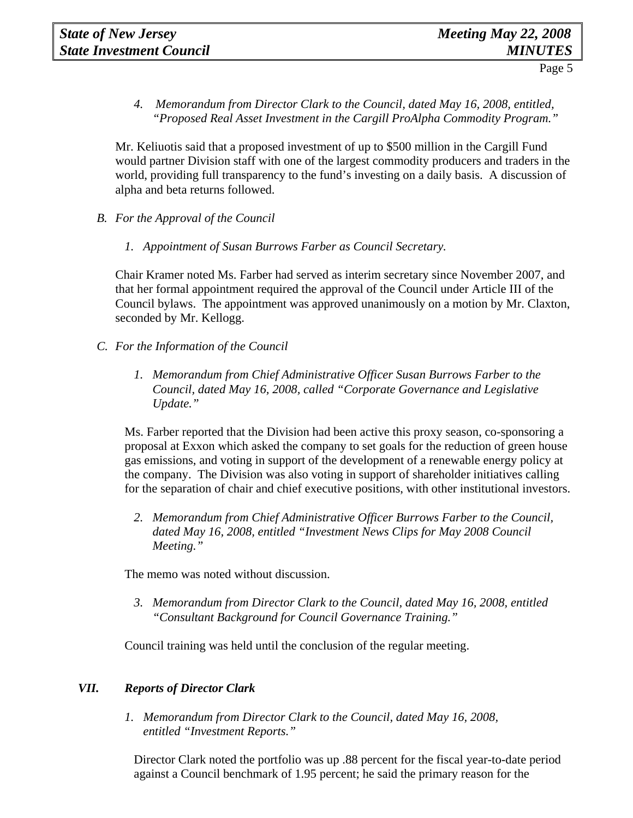*4. Memorandum from Director Clark to the Council, dated May 16, 2008, entitled, "Proposed Real Asset Investment in the Cargill ProAlpha Commodity Program."* 

Mr. Keliuotis said that a proposed investment of up to \$500 million in the Cargill Fund would partner Division staff with one of the largest commodity producers and traders in the world, providing full transparency to the fund's investing on a daily basis. A discussion of alpha and beta returns followed.

- *B. For the Approval of the Council*
	- *1. Appointment of Susan Burrows Farber as Council Secretary.*

Chair Kramer noted Ms. Farber had served as interim secretary since November 2007, and that her formal appointment required the approval of the Council under Article III of the Council bylaws. The appointment was approved unanimously on a motion by Mr. Claxton, seconded by Mr. Kellogg.

- *C. For the Information of the Council*
	- *1. Memorandum from Chief Administrative Officer Susan Burrows Farber to the Council, dated May 16, 2008, called "Corporate Governance and Legislative Update."*

Ms. Farber reported that the Division had been active this proxy season, co-sponsoring a proposal at Exxon which asked the company to set goals for the reduction of green house gas emissions, and voting in support of the development of a renewable energy policy at the company. The Division was also voting in support of shareholder initiatives calling for the separation of chair and chief executive positions, with other institutional investors.

*2. Memorandum from Chief Administrative Officer Burrows Farber to the Council, dated May 16, 2008, entitled "Investment News Clips for May 2008 Council Meeting."* 

The memo was noted without discussion.

*3. Memorandum from Director Clark to the Council, dated May 16, 2008, entitled "Consultant Background for Council Governance Training."* 

Council training was held until the conclusion of the regular meeting.

# *VII. Reports of Director Clark*

 *1. Memorandum from Director Clark to the Council, dated May 16, 2008, entitled "Investment Reports."* 

Director Clark noted the portfolio was up .88 percent for the fiscal year-to-date period against a Council benchmark of 1.95 percent; he said the primary reason for the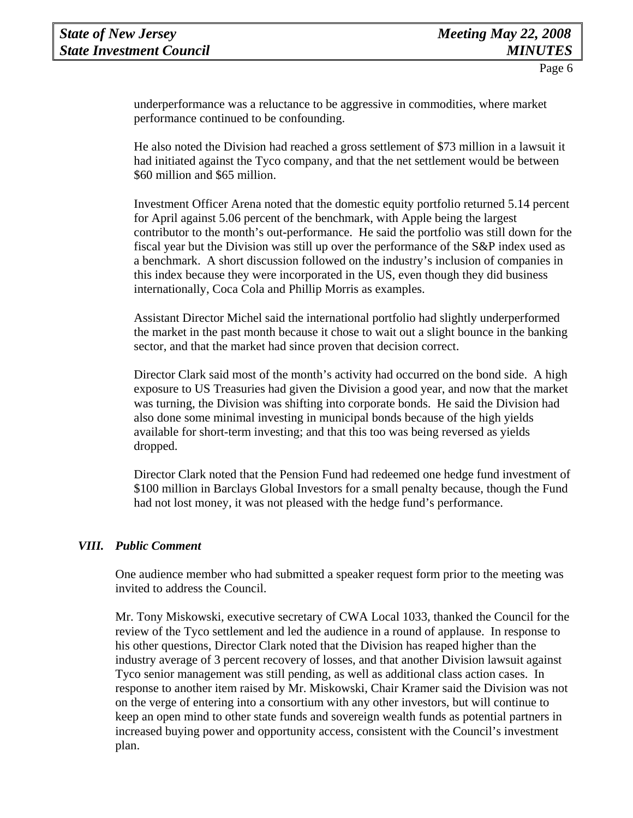underperformance was a reluctance to be aggressive in commodities, where market performance continued to be confounding.

He also noted the Division had reached a gross settlement of \$73 million in a lawsuit it had initiated against the Tyco company, and that the net settlement would be between \$60 million and \$65 million.

Investment Officer Arena noted that the domestic equity portfolio returned 5.14 percent for April against 5.06 percent of the benchmark, with Apple being the largest contributor to the month's out-performance. He said the portfolio was still down for the fiscal year but the Division was still up over the performance of the S&P index used as a benchmark. A short discussion followed on the industry's inclusion of companies in this index because they were incorporated in the US, even though they did business internationally, Coca Cola and Phillip Morris as examples.

Assistant Director Michel said the international portfolio had slightly underperformed the market in the past month because it chose to wait out a slight bounce in the banking sector, and that the market had since proven that decision correct.

Director Clark said most of the month's activity had occurred on the bond side. A high exposure to US Treasuries had given the Division a good year, and now that the market was turning, the Division was shifting into corporate bonds. He said the Division had also done some minimal investing in municipal bonds because of the high yields available for short-term investing; and that this too was being reversed as yields dropped.

Director Clark noted that the Pension Fund had redeemed one hedge fund investment of \$100 million in Barclays Global Investors for a small penalty because, though the Fund had not lost money, it was not pleased with the hedge fund's performance.

#### *VIII. Public Comment*

One audience member who had submitted a speaker request form prior to the meeting was invited to address the Council.

Mr. Tony Miskowski, executive secretary of CWA Local 1033, thanked the Council for the review of the Tyco settlement and led the audience in a round of applause. In response to his other questions, Director Clark noted that the Division has reaped higher than the industry average of 3 percent recovery of losses, and that another Division lawsuit against Tyco senior management was still pending, as well as additional class action cases. In response to another item raised by Mr. Miskowski, Chair Kramer said the Division was not on the verge of entering into a consortium with any other investors, but will continue to keep an open mind to other state funds and sovereign wealth funds as potential partners in increased buying power and opportunity access, consistent with the Council's investment plan.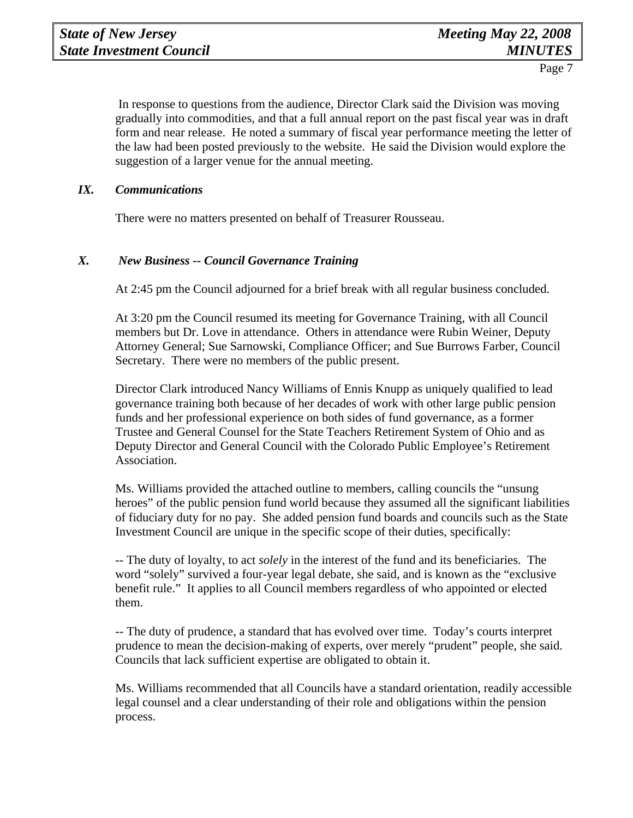In response to questions from the audience, Director Clark said the Division was moving gradually into commodities, and that a full annual report on the past fiscal year was in draft form and near release. He noted a summary of fiscal year performance meeting the letter of the law had been posted previously to the website. He said the Division would explore the suggestion of a larger venue for the annual meeting.

### *IX. Communications*

There were no matters presented on behalf of Treasurer Rousseau.

# *X. New Business -- Council Governance Training*

At 2:45 pm the Council adjourned for a brief break with all regular business concluded.

At 3:20 pm the Council resumed its meeting for Governance Training, with all Council members but Dr. Love in attendance. Others in attendance were Rubin Weiner, Deputy Attorney General; Sue Sarnowski, Compliance Officer; and Sue Burrows Farber, Council Secretary. There were no members of the public present.

Director Clark introduced Nancy Williams of Ennis Knupp as uniquely qualified to lead governance training both because of her decades of work with other large public pension funds and her professional experience on both sides of fund governance, as a former Trustee and General Counsel for the State Teachers Retirement System of Ohio and as Deputy Director and General Council with the Colorado Public Employee's Retirement Association.

Ms. Williams provided the attached outline to members, calling councils the "unsung heroes" of the public pension fund world because they assumed all the significant liabilities of fiduciary duty for no pay. She added pension fund boards and councils such as the State Investment Council are unique in the specific scope of their duties, specifically:

-- The duty of loyalty, to act *solely* in the interest of the fund and its beneficiaries. The word "solely" survived a four-year legal debate, she said, and is known as the "exclusive benefit rule." It applies to all Council members regardless of who appointed or elected them.

-- The duty of prudence, a standard that has evolved over time. Today's courts interpret prudence to mean the decision-making of experts, over merely "prudent" people, she said. Councils that lack sufficient expertise are obligated to obtain it.

Ms. Williams recommended that all Councils have a standard orientation, readily accessible legal counsel and a clear understanding of their role and obligations within the pension process.